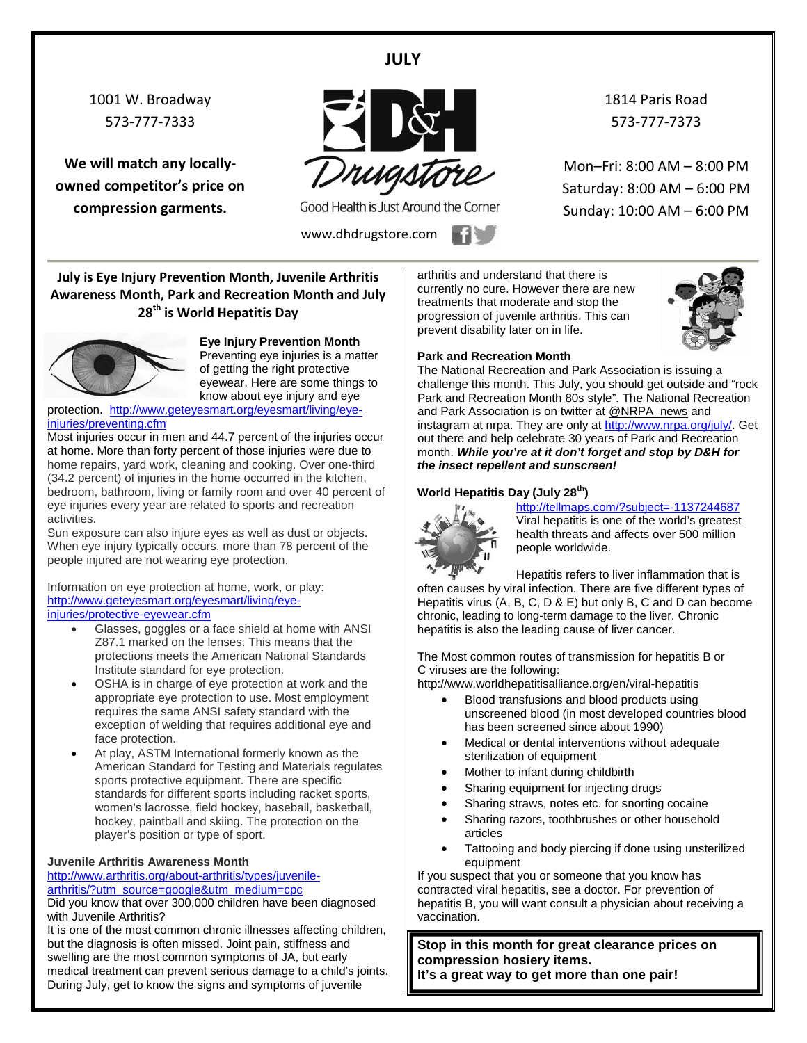#### **JULY**

1001 W. Broadway 573-777-7333

**We will match any locallyowned competitor's price on compression garments.**



Good Health is Just Around the Corner

www.dhdrugstore.com **1** 

1814 Paris Road 573-777-7373

Mon–Fri: 8:00 AM – 8:00 PM Saturday: 8:00 AM – 6:00 PM Sunday: 10:00 AM – 6:00 PM

**July is Eye Injury Prevention Month, Juvenile Arthritis Awareness Month, Park and Recreation Month and July 28th is World Hepatitis Day** 



**Eye Injury Prevention Month** Preventing eye injuries is a matter of getting the right protective

eyewear. Here are some things to know about eye injury and eye protection. [http://www.geteyesmart.org/eyesmart/living/eye-](http://www.geteyesmart.org/eyesmart/living/eye-injuries/preventing.cfm)

[injuries/preventing.cfm](http://www.geteyesmart.org/eyesmart/living/eye-injuries/preventing.cfm)

Most injuries occur in men and 44.7 percent of the injuries occur at home. More than forty percent of those injuries were due to home repairs, yard work, cleaning and cooking. Over one-third (34.2 percent) of injuries in the home occurred in the kitchen, bedroom, bathroom, living or family room and over 40 percent of eye injuries every year are related to sports and recreation activities.

Sun exposure can also injure eyes as well as dust or objects. When eye injury typically occurs, more than 78 percent of the people injured are not wearing eye protection.

Information on eye protection at home, work, or play: [http://www.geteyesmart.org/eyesmart/living/eye](http://www.geteyesmart.org/eyesmart/living/eye-injuries/protective-eyewear.cfm)[injuries/protective-eyewear.cfm](http://www.geteyesmart.org/eyesmart/living/eye-injuries/protective-eyewear.cfm)

- Glasses, goggles or a face shield at home with ANSI Z87.1 marked on the lenses. This means that the protections meets the American National Standards Institute standard for eye protection.
- OSHA is in charge of eye protection at work and the appropriate eye protection to use. Most employment requires the same ANSI safety standard with the exception of welding that requires additional eye and face protection.
- At play, ASTM International formerly known as the American Standard for Testing and Materials regulates sports protective equipment. There are specific standards for different sports including racket sports, women's lacrosse, field hockey, baseball, basketball, hockey, paintball and skiing. The protection on the player's position or type of sport.

#### **Juvenile Arthritis Awareness Month**

[http://www.arthritis.org/about-arthritis/types/juvenile](http://www.arthritis.org/about-arthritis/types/juvenile-arthritis/?utm_source=google&utm_medium=cpc)[arthritis/?utm\\_source=google&utm\\_medium=cpc](http://www.arthritis.org/about-arthritis/types/juvenile-arthritis/?utm_source=google&utm_medium=cpc)

Did you know that over 300,000 children have been diagnosed with Juvenile Arthritis?

It is one of the most common chronic illnesses affecting children, but the diagnosis is often missed. Joint pain, stiffness and swelling are the most common symptoms of JA, but early medical treatment can prevent serious damage to a child's joints. During July, get to know the signs and symptoms of juvenile

arthritis and understand that there is currently no cure. However there are new treatments that moderate and stop the progression of juvenile arthritis. This can prevent disability later on in life.



#### **Park and Recreation Month**

The National Recreation and Park Association is issuing a challenge this month. This July, you should get outside and "rock Park and Recreation Month 80s style". The National Recreation and Park Association is on twitter at [@NRPA\\_news](https://twitter.com/NRPA_news) and instagram at nrpa. They are only at [http://www.nrpa.org/july/.](http://www.nrpa.org/july/) Get out there and help celebrate 30 years of Park and Recreation month. *While you're at it don't forget and stop by D&H for the insect repellent and sunscreen!*

#### **World Hepatitis Day (July 28th)**



<http://tellmaps.com/?subject=-1137244687> Viral hepatitis is one of the world's greatest health threats and affects over 500 million people worldwide.

Hepatitis refers to liver inflammation that is often causes by viral infection. There are five different types of Hepatitis virus (A, B, C, D & E) but only B, C and D can become chronic, leading to long-term damage to the liver. Chronic hepatitis is also the leading cause of liver cancer.

The Most common routes of transmission for [hepatitis B or](http://www.worldhepatitisalliance.org/en/about-viral-hepatitis.html)  [C](http://www.worldhepatitisalliance.org/en/about-viral-hepatitis.html) viruses are the following:

http://www.worldhepatitisalliance.org/en/viral-hepatitis

- Blood transfusions and blood products using unscreened blood (in most developed countries blood has been screened since about 1990)
- Medical or dental interventions without adequate sterilization of equipment
- Mother to infant during childbirth
- Sharing equipment for injecting drugs
- Sharing straws, notes etc. for snorting cocaine
- Sharing razors, toothbrushes or other household articles
- Tattooing and body piercing if done using unsterilized equipment

If you suspect that you or someone that you know has contracted viral hepatitis, see a doctor. For prevention of hepatitis B, you will want consult a physician about receiving a vaccination.

**Stop in this month for great clearance prices on compression hosiery items. It's a great way to get more than one pair!**